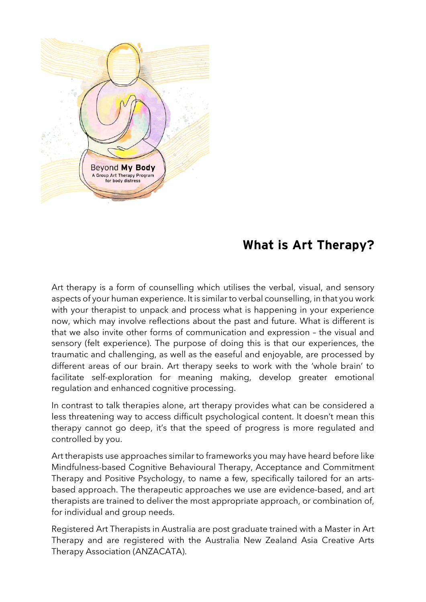

## **What is Art Therapy?**

Art therapy is a form of counselling which utilises the verbal, visual, and sensory aspects of your human experience. It is similar to verbal counselling, in that you work with your therapist to unpack and process what is happening in your experience now, which may involve reflections about the past and future. What is different is that we also invite other forms of communication and expression – the visual and sensory (felt experience). The purpose of doing this is that our experiences, the traumatic and challenging, as well as the easeful and enjoyable, are processed by different areas of our brain. Art therapy seeks to work with the 'whole brain' to facilitate self-exploration for meaning making, develop greater emotional regulation and enhanced cognitive processing.

In contrast to talk therapies alone, art therapy provides what can be considered a less threatening way to access difficult psychological content. It doesn't mean this therapy cannot go deep, it's that the speed of progress is more regulated and controlled by you.

Art therapists use approaches similar to frameworks you may have heard before like Mindfulness-based Cognitive Behavioural Therapy, Acceptance and Commitment Therapy and Positive Psychology, to name a few, specifically tailored for an artsbased approach. The therapeutic approaches we use are evidence-based, and art therapists are trained to deliver the most appropriate approach, or combination of, for individual and group needs.

Registered Art Therapists in Australia are post graduate trained with a Master in Art Therapy and are registered with the Australia New Zealand Asia Creative Arts Therapy Association (ANZACATA).